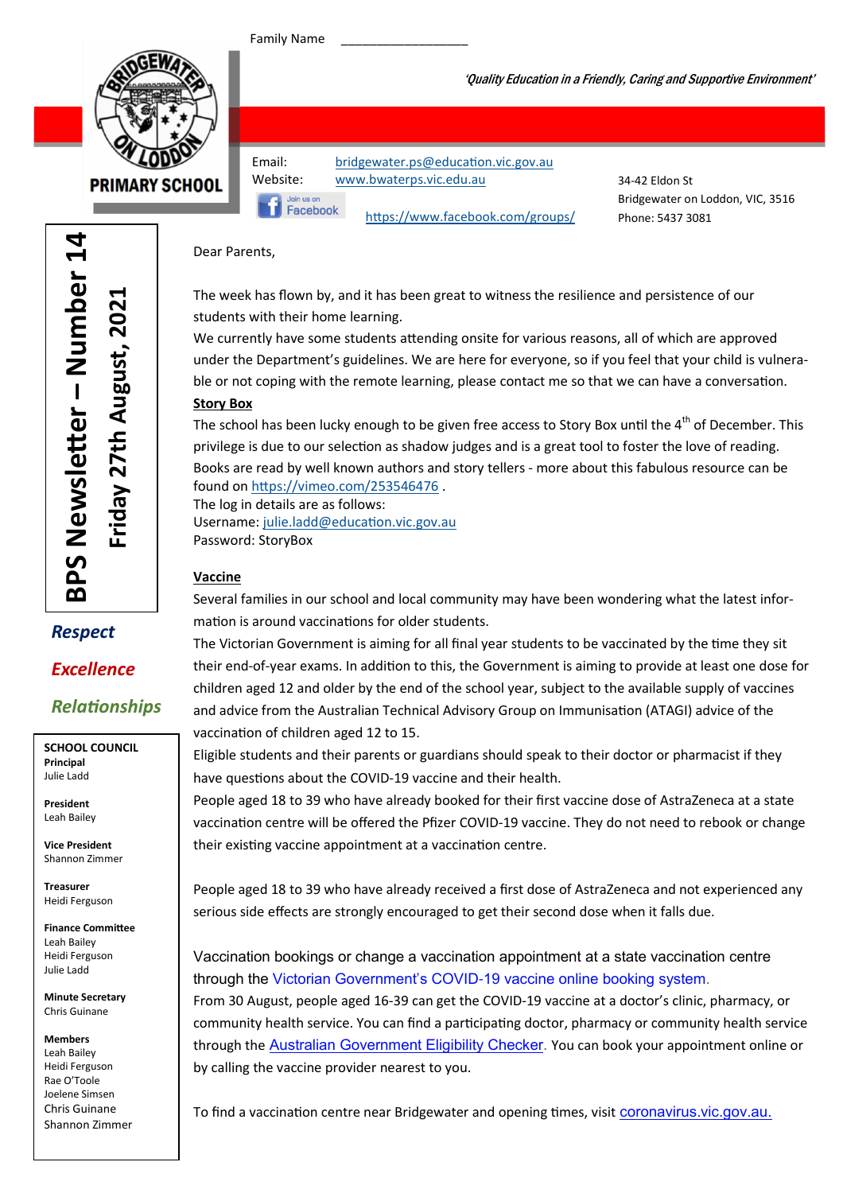Family Name



**PRIMARY SCHOOL** 

Email: bridgewater.ps@education.vic.gov.au Website: www.bwaterps.vic.edu.au

Join us or Facebook

https://www.facebook.com/groups/

34-42 Eldon St Bridgewater on Loddon, VIC, 3516 Phone: 5437 3081

'Quality Education in a Friendly, Caring and Supportive Environment'

Dear Parents,

The week has flown by, and it has been great to witness the resilience and persistence of our students with their home learning.

We currently have some students attending onsite for various reasons, all of which are approved under the Department's guidelines. We are here for everyone, so if you feel that your child is vulnerable or not coping with the remote learning, please contact me so that we can have a conversation.

#### Story Box

The school has been lucky enough to be given free access to Story Box until the 4<sup>th</sup> of December. This privilege is due to our selection as shadow judges and is a great tool to foster the love of reading. Books are read by well known authors and story tellers - more about this fabulous resource can be found on https://vimeo.com/253546476.

The log in details are as follows: Username: julie.ladd@education.vic.gov.au Password: StoryBox

#### Vaccine

Several families in our school and local community may have been wondering what the latest information is around vaccinations for older students.

The Victorian Government is aiming for all final year students to be vaccinated by the time they sit their end-of-year exams. In addition to this, the Government is aiming to provide at least one dose for children aged 12 and older by the end of the school year, subject to the available supply of vaccines and advice from the Australian Technical Advisory Group on Immunisation (ATAGI) advice of the vaccination of children aged 12 to 15.

Eligible students and their parents or guardians should speak to their doctor or pharmacist if they have questions about the COVID-19 vaccine and their health.

People aged 18 to 39 who have already booked for their first vaccine dose of AstraZeneca at a state vaccination centre will be offered the Pfizer COVID-19 vaccine. They do not need to rebook or change their existing vaccine appointment at a vaccination centre.

People aged 18 to 39 who have already received a first dose of AstraZeneca and not experienced any serious side effects are strongly encouraged to get their second dose when it falls due.

Vaccination bookings or change a vaccination appointment at a state vaccination centre through the Victorian Government's COVID-19 vaccine online booking system.

From 30 August, people aged 16-39 can get the COVID-19 vaccine at a doctor's clinic, pharmacy, or community health service. You can find a participating doctor, pharmacy or community health service through the Australian Government Eligibility Checker. You can book your appointment online or by calling the vaccine provider nearest to you.

To find a vaccination centre near Bridgewater and opening times, visit coronavirus.vic.gov.au.

er – Number 14 <u>다</u> BPS Newsletter - Number Friday 27th August, 2021 Friday 27th August, 2021 BPS Newsle

## Respect Excellence

### **Relationships**

SCHOOL COUNCIL Principal Julie Ladd

President Leah Bailey

Vice President Shannon Zimmer

Treasurer Heidi Ferguson

Finance Committee Leah Bailey Heidi Ferguson Julie Ladd

Minute Secretary Chris Guinane

Members Leah Bailey Heidi Ferguson Rae O'Toole Joelene Simsen Chris Guinane Shannon Zimmer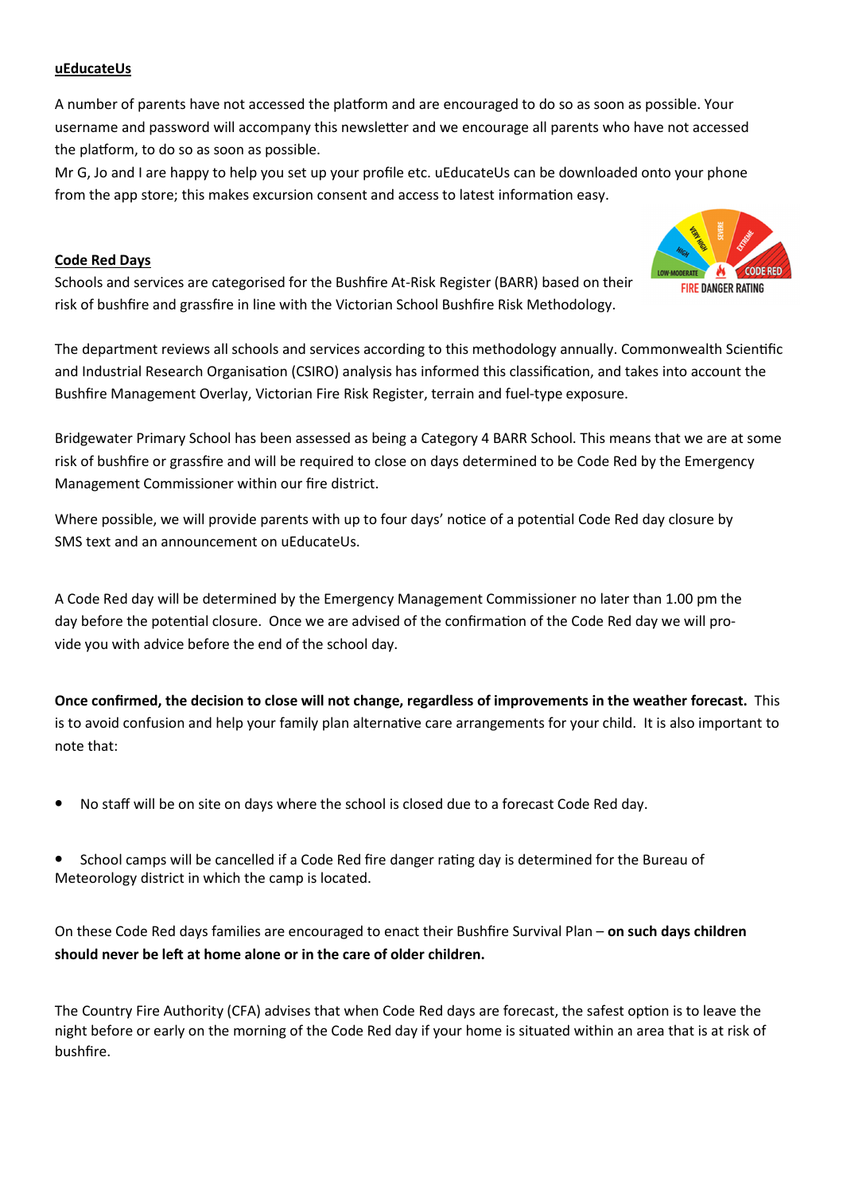#### uEducateUs

A number of parents have not accessed the platform and are encouraged to do so as soon as possible. Your username and password will accompany this newsletter and we encourage all parents who have not accessed the platform, to do so as soon as possible.

Mr G, Jo and I are happy to help you set up your profile etc. uEducateUs can be downloaded onto your phone from the app store; this makes excursion consent and access to latest information easy.

#### Code Red Days

Schools and services are categorised for the Bushfire At-Risk Register (BARR) based on their risk of bushfire and grassfire in line with the Victorian School Bushfire Risk Methodology.



**CODE RED** 

**FIRE DANGER RATING** 

Bridgewater Primary School has been assessed as being a Category 4 BARR School. This means that we are at some risk of bushfire or grassfire and will be required to close on days determined to be Code Red by the Emergency Management Commissioner within our fire district.

Where possible, we will provide parents with up to four days' notice of a potential Code Red day closure by SMS text and an announcement on uEducateUs.

A Code Red day will be determined by the Emergency Management Commissioner no later than 1.00 pm the day before the potential closure. Once we are advised of the confirmation of the Code Red day we will provide you with advice before the end of the school day.

Once confirmed, the decision to close will not change, regardless of improvements in the weather forecast. This is to avoid confusion and help your family plan alternative care arrangements for your child. It is also important to note that:

- No staff will be on site on days where the school is closed due to a forecast Code Red day.
- School camps will be cancelled if a Code Red fire danger rating day is determined for the Bureau of Meteorology district in which the camp is located.

On these Code Red days families are encouraged to enact their Bushfire Survival Plan – on such days children should never be left at home alone or in the care of older children.

The Country Fire Authority (CFA) advises that when Code Red days are forecast, the safest option is to leave the night before or early on the morning of the Code Red day if your home is situated within an area that is at risk of bushfire.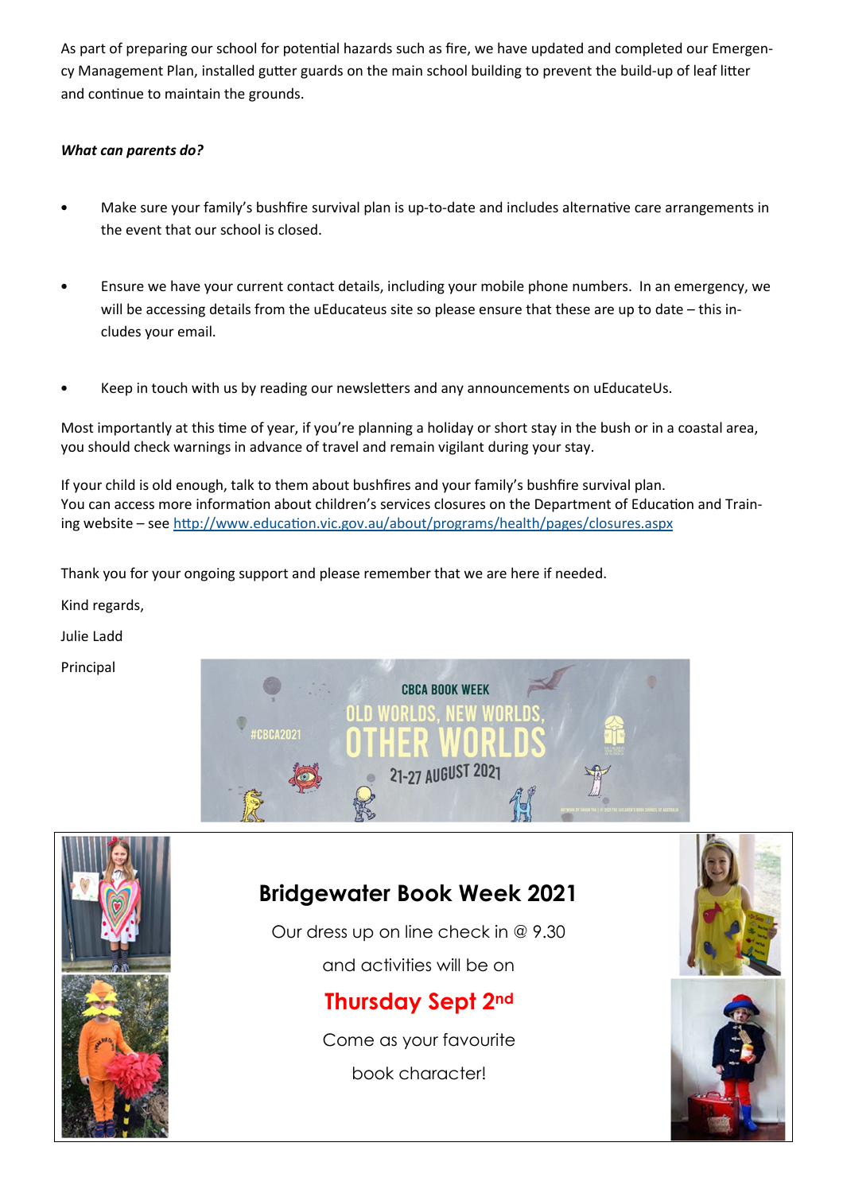As part of preparing our school for potential hazards such as fire, we have updated and completed our Emergency Management Plan, installed gutter guards on the main school building to prevent the build-up of leaf litter and continue to maintain the grounds.

#### What can parents do?

- Make sure your family's bushfire survival plan is up-to-date and includes alternative care arrangements in the event that our school is closed.
- Ensure we have your current contact details, including your mobile phone numbers. In an emergency, we will be accessing details from the uEducateus site so please ensure that these are up to date – this includes your email.
- Keep in touch with us by reading our newsletters and any announcements on uEducateUs.

Most importantly at this time of year, if you're planning a holiday or short stay in the bush or in a coastal area, you should check warnings in advance of travel and remain vigilant during your stay.

If your child is old enough, talk to them about bushfires and your family's bushfire survival plan. You can access more information about children's services closures on the Department of Education and Training website – see http://www.education.vic.gov.au/about/programs/health/pages/closures.aspx

Thank you for your ongoing support and please remember that we are here if needed.

Kind regards,

Julie Ladd

Principal





### Bridgewater Book Week 2021

Our dress up on line check in @ 9.30 and activities will be on

## Thursday Sept 2nd

Come as your favourite book character!